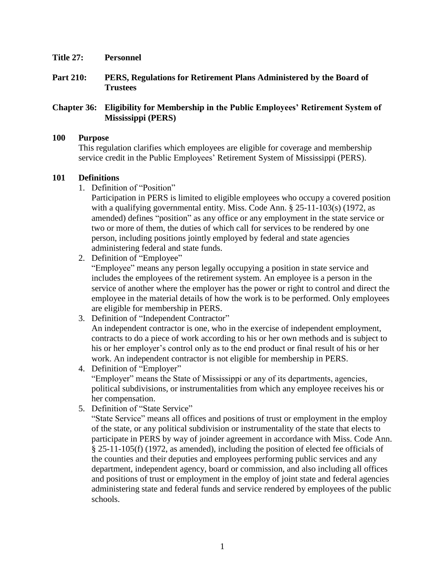- **Title 27: Personnel**
- **Part 210: PERS, Regulations for Retirement Plans Administered by the Board of Trustees**

## **Chapter 36: Eligibility for Membership in the Public Employees' Retirement System of Mississippi (PERS)**

#### **100 Purpose**

This regulation clarifies which employees are eligible for coverage and membership service credit in the Public Employees' Retirement System of Mississippi (PERS).

#### **101 Definitions**

1. Definition of "Position"

Participation in PERS is limited to eligible employees who occupy a covered position with a qualifying governmental entity. Miss. Code Ann. § 25-11-103(s) (1972, as amended) defines "position" as any office or any employment in the state service or two or more of them, the duties of which call for services to be rendered by one person, including positions jointly employed by federal and state agencies administering federal and state funds.

2. Definition of "Employee"

"Employee" means any person legally occupying a position in state service and includes the employees of the retirement system. An employee is a person in the service of another where the employer has the power or right to control and direct the employee in the material details of how the work is to be performed. Only employees are eligible for membership in PERS.

- 3. Definition of "Independent Contractor" An independent contractor is one, who in the exercise of independent employment, contracts to do a piece of work according to his or her own methods and is subject to his or her employer's control only as to the end product or final result of his or her work. An independent contractor is not eligible for membership in PERS.
- 4. Definition of "Employer" "Employer" means the State of Mississippi or any of its departments, agencies, political subdivisions, or instrumentalities from which any employee receives his or her compensation.
- 5. Definition of "State Service"

"State Service" means all offices and positions of trust or employment in the employ of the state, or any political subdivision or instrumentality of the state that elects to participate in PERS by way of joinder agreement in accordance with Miss. Code Ann. § 25-11-105(f) (1972, as amended), including the position of elected fee officials of the counties and their deputies and employees performing public services and any department, independent agency, board or commission, and also including all offices and positions of trust or employment in the employ of joint state and federal agencies administering state and federal funds and service rendered by employees of the public schools.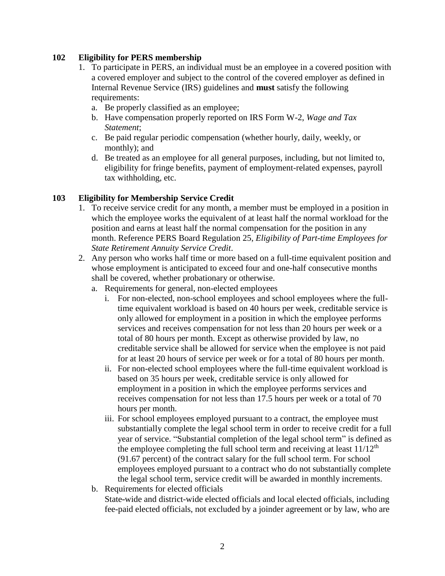# **102 Eligibility for PERS membership**

- 1. To participate in PERS, an individual must be an employee in a covered position with a covered employer and subject to the control of the covered employer as defined in Internal Revenue Service (IRS) guidelines and **must** satisfy the following requirements:
	- a. Be properly classified as an employee;
	- b. Have compensation properly reported on IRS Form W-2, *Wage and Tax Statement*;
	- c. Be paid regular periodic compensation (whether hourly, daily, weekly, or monthly); and
	- d. Be treated as an employee for all general purposes, including, but not limited to, eligibility for fringe benefits, payment of employment-related expenses, payroll tax withholding, etc.

# **103 Eligibility for Membership Service Credit**

- 1. To receive service credit for any month, a member must be employed in a position in which the employee works the equivalent of at least half the normal workload for the position and earns at least half the normal compensation for the position in any month. Reference PERS Board Regulation 25, *Eligibility of Part-time Employees for State Retirement Annuity Service Credit*.
- 2. Any person who works half time or more based on a full-time equivalent position and whose employment is anticipated to exceed four and one-half consecutive months shall be covered, whether probationary or otherwise.
	- a. Requirements for general, non-elected employees
		- i. For non-elected, non-school employees and school employees where the fulltime equivalent workload is based on 40 hours per week, creditable service is only allowed for employment in a position in which the employee performs services and receives compensation for not less than 20 hours per week or a total of 80 hours per month. Except as otherwise provided by law, no creditable service shall be allowed for service when the employee is not paid for at least 20 hours of service per week or for a total of 80 hours per month.
		- ii. For non-elected school employees where the full-time equivalent workload is based on 35 hours per week, creditable service is only allowed for employment in a position in which the employee performs services and receives compensation for not less than 17.5 hours per week or a total of 70 hours per month.
		- iii. For school employees employed pursuant to a contract, the employee must substantially complete the legal school term in order to receive credit for a full year of service. "Substantial completion of the legal school term" is defined as the employee completing the full school term and receiving at least  $11/12<sup>th</sup>$ (91.67 percent) of the contract salary for the full school term. For school employees employed pursuant to a contract who do not substantially complete the legal school term, service credit will be awarded in monthly increments.
	- b. Requirements for elected officials State-wide and district-wide elected officials and local elected officials, including fee-paid elected officials, not excluded by a joinder agreement or by law, who are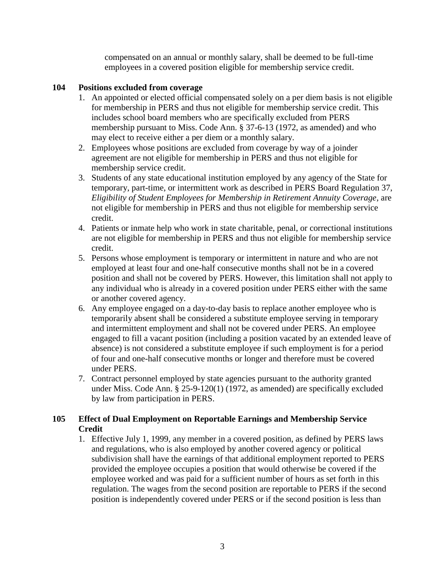compensated on an annual or monthly salary, shall be deemed to be full-time employees in a covered position eligible for membership service credit.

# **104 Positions excluded from coverage**

- 1. An appointed or elected official compensated solely on a per diem basis is not eligible for membership in PERS and thus not eligible for membership service credit. This includes school board members who are specifically excluded from PERS membership pursuant to Miss. Code Ann. § 37-6-13 (1972, as amended) and who may elect to receive either a per diem or a monthly salary.
- 2. Employees whose positions are excluded from coverage by way of a joinder agreement are not eligible for membership in PERS and thus not eligible for membership service credit.
- 3. Students of any state educational institution employed by any agency of the State for temporary, part-time, or intermittent work as described in PERS Board Regulation 37, *Eligibility of Student Employees for Membership in Retirement Annuity Coverage*, are not eligible for membership in PERS and thus not eligible for membership service credit.
- 4. Patients or inmate help who work in state charitable, penal, or correctional institutions are not eligible for membership in PERS and thus not eligible for membership service credit.
- 5. Persons whose employment is temporary or intermittent in nature and who are not employed at least four and one-half consecutive months shall not be in a covered position and shall not be covered by PERS. However, this limitation shall not apply to any individual who is already in a covered position under PERS either with the same or another covered agency.
- 6. Any employee engaged on a day-to-day basis to replace another employee who is temporarily absent shall be considered a substitute employee serving in temporary and intermittent employment and shall not be covered under PERS. An employee engaged to fill a vacant position (including a position vacated by an extended leave of absence) is not considered a substitute employee if such employment is for a period of four and one-half consecutive months or longer and therefore must be covered under PERS.
- 7. Contract personnel employed by state agencies pursuant to the authority granted under Miss. Code Ann. § 25-9-120(1) (1972, as amended) are specifically excluded by law from participation in PERS.

# **105 Effect of Dual Employment on Reportable Earnings and Membership Service Credit**

1. Effective July 1, 1999, any member in a covered position, as defined by PERS laws and regulations, who is also employed by another covered agency or political subdivision shall have the earnings of that additional employment reported to PERS provided the employee occupies a position that would otherwise be covered if the employee worked and was paid for a sufficient number of hours as set forth in this regulation. The wages from the second position are reportable to PERS if the second position is independently covered under PERS or if the second position is less than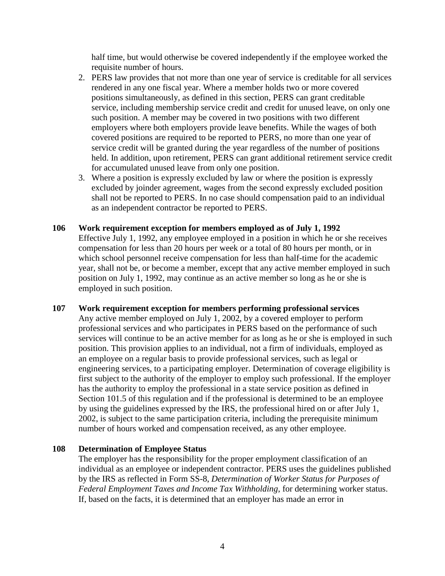half time, but would otherwise be covered independently if the employee worked the requisite number of hours.

- 2. PERS law provides that not more than one year of service is creditable for all services rendered in any one fiscal year. Where a member holds two or more covered positions simultaneously, as defined in this section, PERS can grant creditable service, including membership service credit and credit for unused leave, on only one such position. A member may be covered in two positions with two different employers where both employers provide leave benefits. While the wages of both covered positions are required to be reported to PERS, no more than one year of service credit will be granted during the year regardless of the number of positions held. In addition, upon retirement, PERS can grant additional retirement service credit for accumulated unused leave from only one position.
- 3. Where a position is expressly excluded by law or where the position is expressly excluded by joinder agreement, wages from the second expressly excluded position shall not be reported to PERS. In no case should compensation paid to an individual as an independent contractor be reported to PERS.
- **106 Work requirement exception for members employed as of July 1, 1992** Effective July 1, 1992, any employee employed in a position in which he or she receives compensation for less than 20 hours per week or a total of 80 hours per month, or in which school personnel receive compensation for less than half-time for the academic year, shall not be, or become a member, except that any active member employed in such position on July 1, 1992, may continue as an active member so long as he or she is employed in such position.
- **107 Work requirement exception for members performing professional services** Any active member employed on July 1, 2002, by a covered employer to perform professional services and who participates in PERS based on the performance of such services will continue to be an active member for as long as he or she is employed in such position. This provision applies to an individual, not a firm of individuals, employed as an employee on a regular basis to provide professional services, such as legal or engineering services, to a participating employer. Determination of coverage eligibility is first subject to the authority of the employer to employ such professional. If the employer has the authority to employ the professional in a state service position as defined in Section 101.5 of this regulation and if the professional is determined to be an employee by using the guidelines expressed by the IRS, the professional hired on or after July 1, 2002, is subject to the same participation criteria, including the prerequisite minimum number of hours worked and compensation received, as any other employee.

## **108 Determination of Employee Status**

The employer has the responsibility for the proper employment classification of an individual as an employee or independent contractor. PERS uses the guidelines published by the IRS as reflected in Form SS-8, *Determination of Worker Status for Purposes of Federal Employment Taxes and Income Tax Withholding*, for determining worker status. If, based on the facts, it is determined that an employer has made an error in